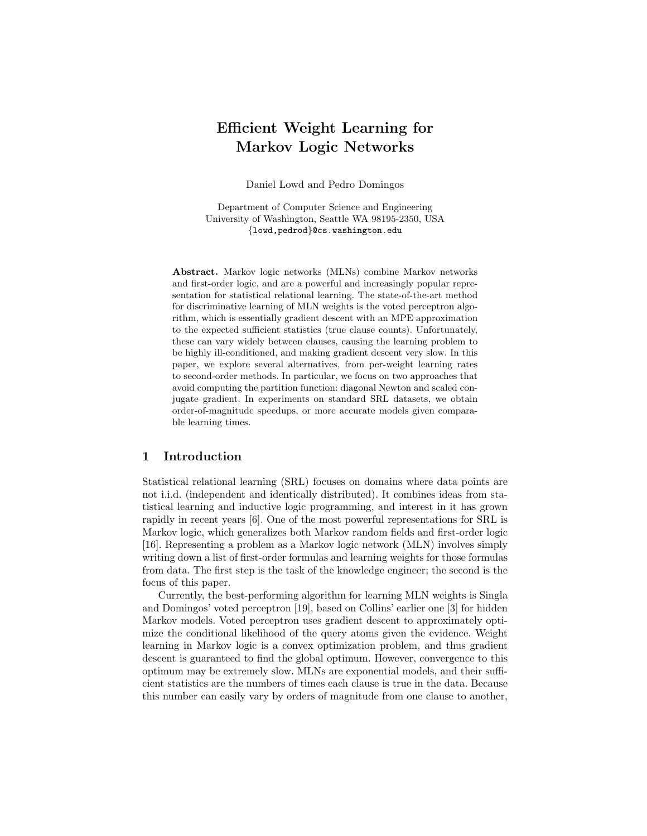# Efficient Weight Learning for Markov Logic Networks

Daniel Lowd and Pedro Domingos

Department of Computer Science and Engineering University of Washington, Seattle WA 98195-2350, USA {lowd,pedrod}@cs.washington.edu

Abstract. Markov logic networks (MLNs) combine Markov networks and first-order logic, and are a powerful and increasingly popular representation for statistical relational learning. The state-of-the-art method for discriminative learning of MLN weights is the voted perceptron algorithm, which is essentially gradient descent with an MPE approximation to the expected sufficient statistics (true clause counts). Unfortunately, these can vary widely between clauses, causing the learning problem to be highly ill-conditioned, and making gradient descent very slow. In this paper, we explore several alternatives, from per-weight learning rates to second-order methods. In particular, we focus on two approaches that avoid computing the partition function: diagonal Newton and scaled conjugate gradient. In experiments on standard SRL datasets, we obtain order-of-magnitude speedups, or more accurate models given comparable learning times.

## 1 Introduction

Statistical relational learning (SRL) focuses on domains where data points are not i.i.d. (independent and identically distributed). It combines ideas from statistical learning and inductive logic programming, and interest in it has grown rapidly in recent years [6]. One of the most powerful representations for SRL is Markov logic, which generalizes both Markov random fields and first-order logic [16]. Representing a problem as a Markov logic network (MLN) involves simply writing down a list of first-order formulas and learning weights for those formulas from data. The first step is the task of the knowledge engineer; the second is the focus of this paper.

Currently, the best-performing algorithm for learning MLN weights is Singla and Domingos' voted perceptron [19], based on Collins' earlier one [3] for hidden Markov models. Voted perceptron uses gradient descent to approximately optimize the conditional likelihood of the query atoms given the evidence. Weight learning in Markov logic is a convex optimization problem, and thus gradient descent is guaranteed to find the global optimum. However, convergence to this optimum may be extremely slow. MLNs are exponential models, and their sufficient statistics are the numbers of times each clause is true in the data. Because this number can easily vary by orders of magnitude from one clause to another,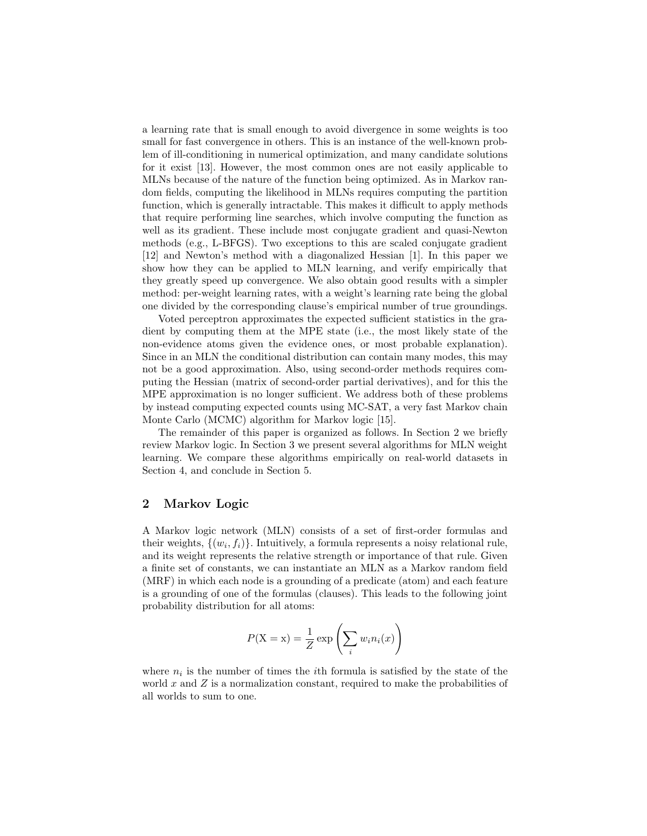a learning rate that is small enough to avoid divergence in some weights is too small for fast convergence in others. This is an instance of the well-known problem of ill-conditioning in numerical optimization, and many candidate solutions for it exist [13]. However, the most common ones are not easily applicable to MLNs because of the nature of the function being optimized. As in Markov random fields, computing the likelihood in MLNs requires computing the partition function, which is generally intractable. This makes it difficult to apply methods that require performing line searches, which involve computing the function as well as its gradient. These include most conjugate gradient and quasi-Newton methods (e.g., L-BFGS). Two exceptions to this are scaled conjugate gradient [12] and Newton's method with a diagonalized Hessian [1]. In this paper we show how they can be applied to MLN learning, and verify empirically that they greatly speed up convergence. We also obtain good results with a simpler method: per-weight learning rates, with a weight's learning rate being the global one divided by the corresponding clause's empirical number of true groundings.

Voted perceptron approximates the expected sufficient statistics in the gradient by computing them at the MPE state (i.e., the most likely state of the non-evidence atoms given the evidence ones, or most probable explanation). Since in an MLN the conditional distribution can contain many modes, this may not be a good approximation. Also, using second-order methods requires computing the Hessian (matrix of second-order partial derivatives), and for this the MPE approximation is no longer sufficient. We address both of these problems by instead computing expected counts using MC-SAT, a very fast Markov chain Monte Carlo (MCMC) algorithm for Markov logic [15].

The remainder of this paper is organized as follows. In Section 2 we briefly review Markov logic. In Section 3 we present several algorithms for MLN weight learning. We compare these algorithms empirically on real-world datasets in Section 4, and conclude in Section 5.

# 2 Markov Logic

A Markov logic network (MLN) consists of a set of first-order formulas and their weights,  $\{(w_i, f_i)\}\$ . Intuitively, a formula represents a noisy relational rule, and its weight represents the relative strength or importance of that rule. Given a finite set of constants, we can instantiate an MLN as a Markov random field (MRF) in which each node is a grounding of a predicate (atom) and each feature is a grounding of one of the formulas (clauses). This leads to the following joint probability distribution for all atoms:

$$
P(X = x) = \frac{1}{Z} \exp\left(\sum_{i} w_i n_i(x)\right)
$$

where  $n_i$  is the number of times the *i*<sup>th</sup> formula is satisfied by the state of the world  $x$  and  $Z$  is a normalization constant, required to make the probabilities of all worlds to sum to one.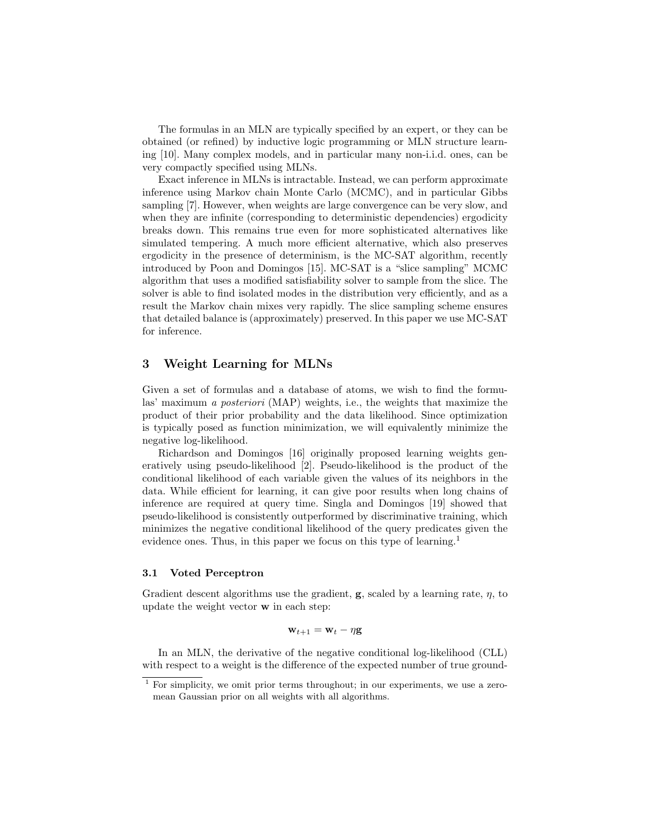The formulas in an MLN are typically specified by an expert, or they can be obtained (or refined) by inductive logic programming or MLN structure learning [10]. Many complex models, and in particular many non-i.i.d. ones, can be very compactly specified using MLNs.

Exact inference in MLNs is intractable. Instead, we can perform approximate inference using Markov chain Monte Carlo (MCMC), and in particular Gibbs sampling [7]. However, when weights are large convergence can be very slow, and when they are infinite (corresponding to deterministic dependencies) ergodicity breaks down. This remains true even for more sophisticated alternatives like simulated tempering. A much more efficient alternative, which also preserves ergodicity in the presence of determinism, is the MC-SAT algorithm, recently introduced by Poon and Domingos [15]. MC-SAT is a "slice sampling" MCMC algorithm that uses a modified satisfiability solver to sample from the slice. The solver is able to find isolated modes in the distribution very efficiently, and as a result the Markov chain mixes very rapidly. The slice sampling scheme ensures that detailed balance is (approximately) preserved. In this paper we use MC-SAT for inference.

# 3 Weight Learning for MLNs

Given a set of formulas and a database of atoms, we wish to find the formulas' maximum a posteriori (MAP) weights, i.e., the weights that maximize the product of their prior probability and the data likelihood. Since optimization is typically posed as function minimization, we will equivalently minimize the negative log-likelihood.

Richardson and Domingos [16] originally proposed learning weights generatively using pseudo-likelihood [2]. Pseudo-likelihood is the product of the conditional likelihood of each variable given the values of its neighbors in the data. While efficient for learning, it can give poor results when long chains of inference are required at query time. Singla and Domingos [19] showed that pseudo-likelihood is consistently outperformed by discriminative training, which minimizes the negative conditional likelihood of the query predicates given the evidence ones. Thus, in this paper we focus on this type of learning.<sup>1</sup>

## 3.1 Voted Perceptron

Gradient descent algorithms use the gradient,  $g$ , scaled by a learning rate,  $\eta$ , to update the weight vector w in each step:

$$
\mathbf{w}_{t+1} = \mathbf{w}_t - \eta \mathbf{g}
$$

In an MLN, the derivative of the negative conditional log-likelihood (CLL) with respect to a weight is the difference of the expected number of true ground-

<sup>&</sup>lt;sup>1</sup> For simplicity, we omit prior terms throughout; in our experiments, we use a zeromean Gaussian prior on all weights with all algorithms.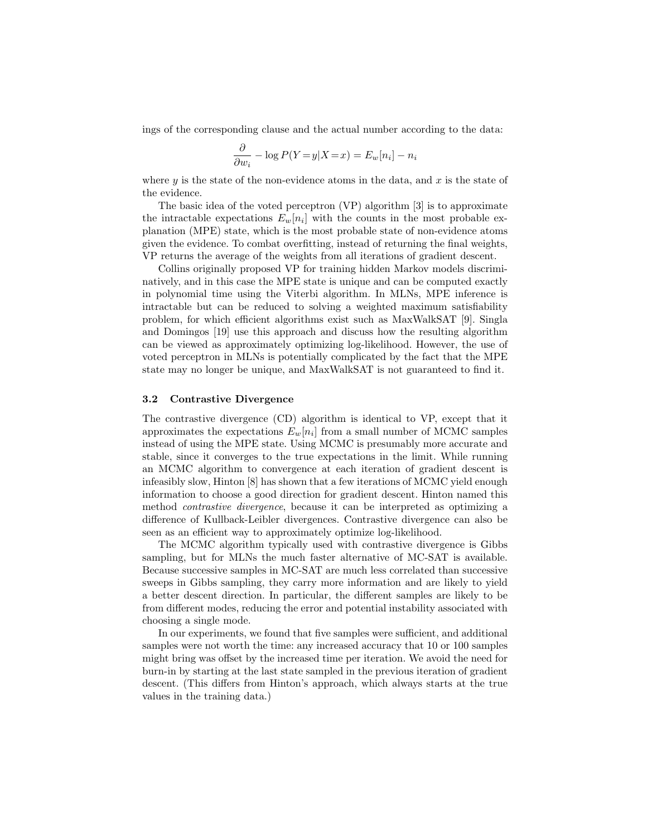ings of the corresponding clause and the actual number according to the data:

$$
\frac{\partial}{\partial w_i} - \log P(Y = y | X = x) = E_w[n_i] - n_i
$$

where  $y$  is the state of the non-evidence atoms in the data, and  $x$  is the state of the evidence.

The basic idea of the voted perceptron (VP) algorithm [3] is to approximate the intractable expectations  $E_w[n_i]$  with the counts in the most probable explanation (MPE) state, which is the most probable state of non-evidence atoms given the evidence. To combat overfitting, instead of returning the final weights, VP returns the average of the weights from all iterations of gradient descent.

Collins originally proposed VP for training hidden Markov models discriminatively, and in this case the MPE state is unique and can be computed exactly in polynomial time using the Viterbi algorithm. In MLNs, MPE inference is intractable but can be reduced to solving a weighted maximum satisfiability problem, for which efficient algorithms exist such as MaxWalkSAT [9]. Singla and Domingos [19] use this approach and discuss how the resulting algorithm can be viewed as approximately optimizing log-likelihood. However, the use of voted perceptron in MLNs is potentially complicated by the fact that the MPE state may no longer be unique, and MaxWalkSAT is not guaranteed to find it.

#### 3.2 Contrastive Divergence

The contrastive divergence (CD) algorithm is identical to VP, except that it approximates the expectations  $E_w[n_i]$  from a small number of MCMC samples instead of using the MPE state. Using MCMC is presumably more accurate and stable, since it converges to the true expectations in the limit. While running an MCMC algorithm to convergence at each iteration of gradient descent is infeasibly slow, Hinton [8] has shown that a few iterations of MCMC yield enough information to choose a good direction for gradient descent. Hinton named this method contrastive divergence, because it can be interpreted as optimizing a difference of Kullback-Leibler divergences. Contrastive divergence can also be seen as an efficient way to approximately optimize log-likelihood.

The MCMC algorithm typically used with contrastive divergence is Gibbs sampling, but for MLNs the much faster alternative of MC-SAT is available. Because successive samples in MC-SAT are much less correlated than successive sweeps in Gibbs sampling, they carry more information and are likely to yield a better descent direction. In particular, the different samples are likely to be from different modes, reducing the error and potential instability associated with choosing a single mode.

In our experiments, we found that five samples were sufficient, and additional samples were not worth the time: any increased accuracy that 10 or 100 samples might bring was offset by the increased time per iteration. We avoid the need for burn-in by starting at the last state sampled in the previous iteration of gradient descent. (This differs from Hinton's approach, which always starts at the true values in the training data.)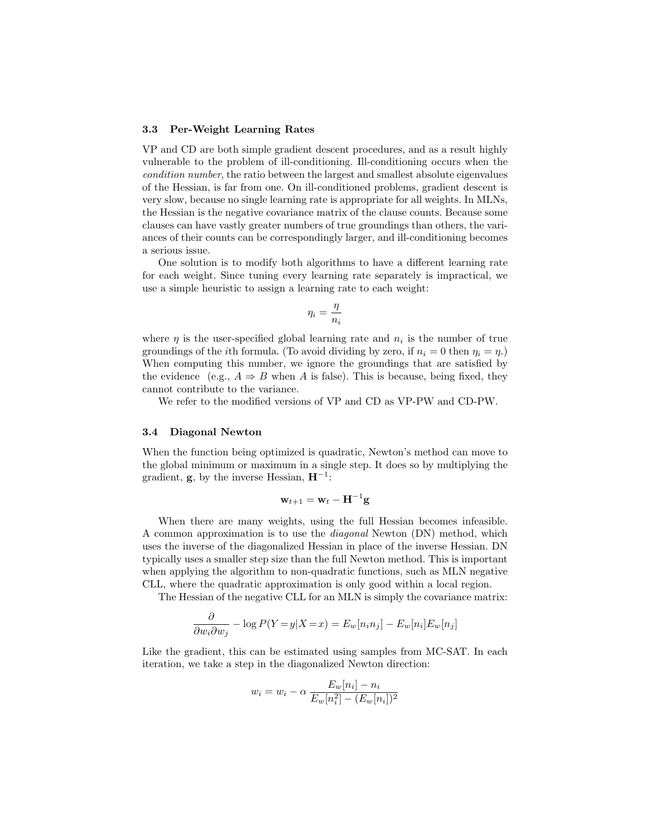### 3.3 Per-Weight Learning Rates

VP and CD are both simple gradient descent procedures, and as a result highly vulnerable to the problem of ill-conditioning. Ill-conditioning occurs when the condition number, the ratio between the largest and smallest absolute eigenvalues of the Hessian, is far from one. On ill-conditioned problems, gradient descent is very slow, because no single learning rate is appropriate for all weights. In MLNs, the Hessian is the negative covariance matrix of the clause counts. Because some clauses can have vastly greater numbers of true groundings than others, the variances of their counts can be correspondingly larger, and ill-conditioning becomes a serious issue.

One solution is to modify both algorithms to have a different learning rate for each weight. Since tuning every learning rate separately is impractical, we use a simple heuristic to assign a learning rate to each weight:

$$
\eta_i = \frac{\eta}{n_i}
$$

where  $\eta$  is the user-specified global learning rate and  $n_i$  is the number of true groundings of the *i*th formula. (To avoid dividing by zero, if  $n_i = 0$  then  $\eta_i = \eta$ .) When computing this number, we ignore the groundings that are satisfied by the evidence (e.g.,  $A \Rightarrow B$  when A is false). This is because, being fixed, they cannot contribute to the variance.

We refer to the modified versions of VP and CD as VP-PW and CD-PW.

### 3.4 Diagonal Newton

When the function being optimized is quadratic, Newton's method can move to the global minimum or maximum in a single step. It does so by multiplying the gradient, **g**, by the inverse Hessian,  $H^{-1}$ :

$$
\mathbf{w}_{t+1} = \mathbf{w}_t - \mathbf{H}^{-1}\mathbf{g}
$$

When there are many weights, using the full Hessian becomes infeasible. A common approximation is to use the diagonal Newton (DN) method, which uses the inverse of the diagonalized Hessian in place of the inverse Hessian. DN typically uses a smaller step size than the full Newton method. This is important when applying the algorithm to non-quadratic functions, such as MLN negative CLL, where the quadratic approximation is only good within a local region.

The Hessian of the negative CLL for an MLN is simply the covariance matrix:

$$
\frac{\partial}{\partial w_i \partial w_j} - \log P(Y = y | X = x) = E_w[n_i n_j] - E_w[n_i] E_w[n_j]
$$

Like the gradient, this can be estimated using samples from MC-SAT. In each iteration, we take a step in the diagonalized Newton direction:

$$
w_i = w_i - \alpha \frac{E_w[n_i] - n_i}{E_w[n_i^2] - (E_w[n_i])^2}
$$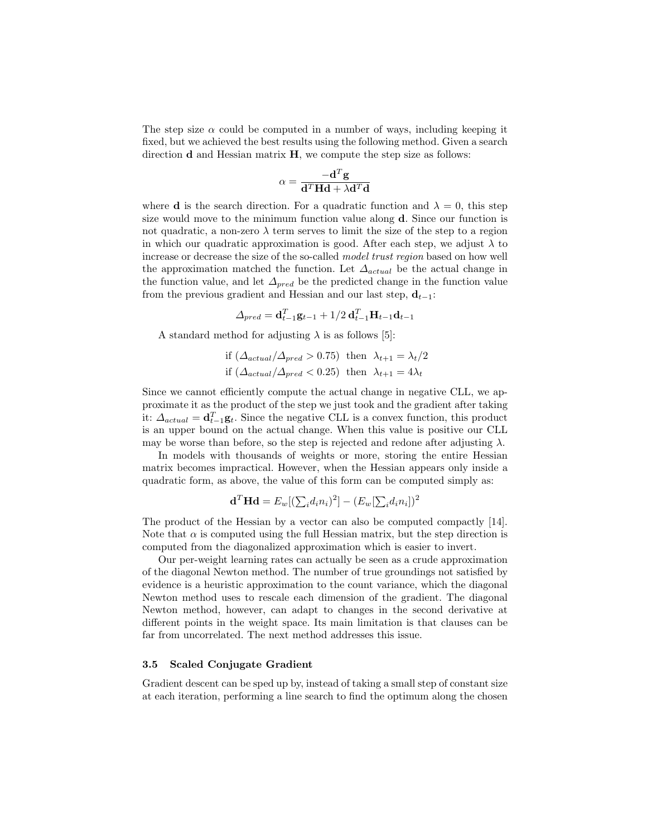The step size  $\alpha$  could be computed in a number of ways, including keeping it fixed, but we achieved the best results using the following method. Given a search direction  $\bf d$  and Hessian matrix  $\bf H$ , we compute the step size as follows:

$$
\alpha = \frac{-\mathbf{d}^T\mathbf{g}}{\mathbf{d}^T\mathbf{Hd} + \lambda \mathbf{d}^T\mathbf{d}}
$$

where **d** is the search direction. For a quadratic function and  $\lambda = 0$ , this step size would move to the minimum function value along d. Since our function is not quadratic, a non-zero  $\lambda$  term serves to limit the size of the step to a region in which our quadratic approximation is good. After each step, we adjust  $\lambda$  to increase or decrease the size of the so-called model trust region based on how well the approximation matched the function. Let  $\Delta_{actual}$  be the actual change in the function value, and let  $\Delta_{pred}$  be the predicted change in the function value from the previous gradient and Hessian and our last step,  $\mathbf{d}_{t-1}$ :

$$
\boldsymbol{\varDelta}_{pred} = \mathbf{d}_{t-1}^T \mathbf{g}_{t-1} + 1/2 \, \mathbf{d}_{t-1}^T \mathbf{H}_{t-1} \mathbf{d}_{t-1}
$$

A standard method for adjusting  $\lambda$  is as follows [5]:

if 
$$
(\Delta_{actual}/\Delta_{pred} > 0.75)
$$
 then  $\lambda_{t+1} = \lambda_t/2$   
if  $(\Delta_{actual}/\Delta_{pred} < 0.25)$  then  $\lambda_{t+1} = 4\lambda_t$ 

Since we cannot efficiently compute the actual change in negative CLL, we approximate it as the product of the step we just took and the gradient after taking it:  $\Delta_{actual} = \mathbf{d}_{t-1}^T \mathbf{g}_t$ . Since the negative CLL is a convex function, this product is an upper bound on the actual change. When this value is positive our CLL may be worse than before, so the step is rejected and redone after adjusting  $\lambda$ .

In models with thousands of weights or more, storing the entire Hessian matrix becomes impractical. However, when the Hessian appears only inside a quadratic form, as above, the value of this form can be computed simply as:

$$
\mathbf{d}^T \mathbf{H} \mathbf{d} = E_w[(\sum_i d_i n_i)^2] - (E_w[\sum_i d_i n_i])^2
$$

The product of the Hessian by a vector can also be computed compactly [14]. Note that  $\alpha$  is computed using the full Hessian matrix, but the step direction is computed from the diagonalized approximation which is easier to invert.

Our per-weight learning rates can actually be seen as a crude approximation of the diagonal Newton method. The number of true groundings not satisfied by evidence is a heuristic approximation to the count variance, which the diagonal Newton method uses to rescale each dimension of the gradient. The diagonal Newton method, however, can adapt to changes in the second derivative at different points in the weight space. Its main limitation is that clauses can be far from uncorrelated. The next method addresses this issue.

# 3.5 Scaled Conjugate Gradient

Gradient descent can be sped up by, instead of taking a small step of constant size at each iteration, performing a line search to find the optimum along the chosen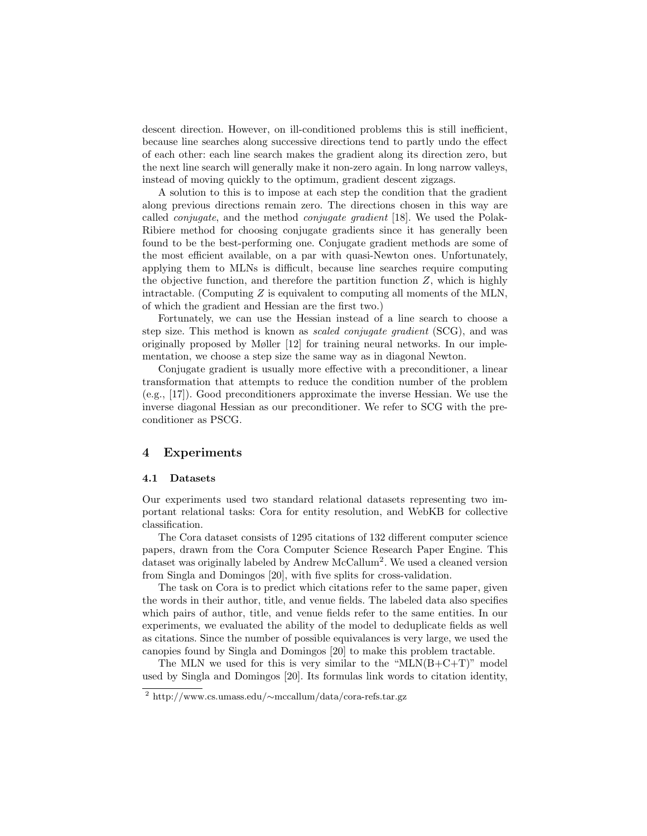descent direction. However, on ill-conditioned problems this is still inefficient, because line searches along successive directions tend to partly undo the effect of each other: each line search makes the gradient along its direction zero, but the next line search will generally make it non-zero again. In long narrow valleys, instead of moving quickly to the optimum, gradient descent zigzags.

A solution to this is to impose at each step the condition that the gradient along previous directions remain zero. The directions chosen in this way are called conjugate, and the method conjugate gradient [18]. We used the Polak-Ribiere method for choosing conjugate gradients since it has generally been found to be the best-performing one. Conjugate gradient methods are some of the most efficient available, on a par with quasi-Newton ones. Unfortunately, applying them to MLNs is difficult, because line searches require computing the objective function, and therefore the partition function  $Z$ , which is highly intractable. (Computing  $Z$  is equivalent to computing all moments of the MLN, of which the gradient and Hessian are the first two.)

Fortunately, we can use the Hessian instead of a line search to choose a step size. This method is known as *scaled conjugate gradient* (SCG), and was originally proposed by Møller [12] for training neural networks. In our implementation, we choose a step size the same way as in diagonal Newton.

Conjugate gradient is usually more effective with a preconditioner, a linear transformation that attempts to reduce the condition number of the problem (e.g., [17]). Good preconditioners approximate the inverse Hessian. We use the inverse diagonal Hessian as our preconditioner. We refer to SCG with the preconditioner as PSCG.

# 4 Experiments

#### 4.1 Datasets

Our experiments used two standard relational datasets representing two important relational tasks: Cora for entity resolution, and WebKB for collective classification.

The Cora dataset consists of 1295 citations of 132 different computer science papers, drawn from the Cora Computer Science Research Paper Engine. This dataset was originally labeled by Andrew McCallum<sup>2</sup>. We used a cleaned version from Singla and Domingos [20], with five splits for cross-validation.

The task on Cora is to predict which citations refer to the same paper, given the words in their author, title, and venue fields. The labeled data also specifies which pairs of author, title, and venue fields refer to the same entities. In our experiments, we evaluated the ability of the model to deduplicate fields as well as citations. Since the number of possible equivalances is very large, we used the canopies found by Singla and Domingos [20] to make this problem tractable.

The MLN we used for this is very similar to the "MLN $(B+C+T)$ " model used by Singla and Domingos [20]. Its formulas link words to citation identity,

<sup>2</sup> http://www.cs.umass.edu/∼mccallum/data/cora-refs.tar.gz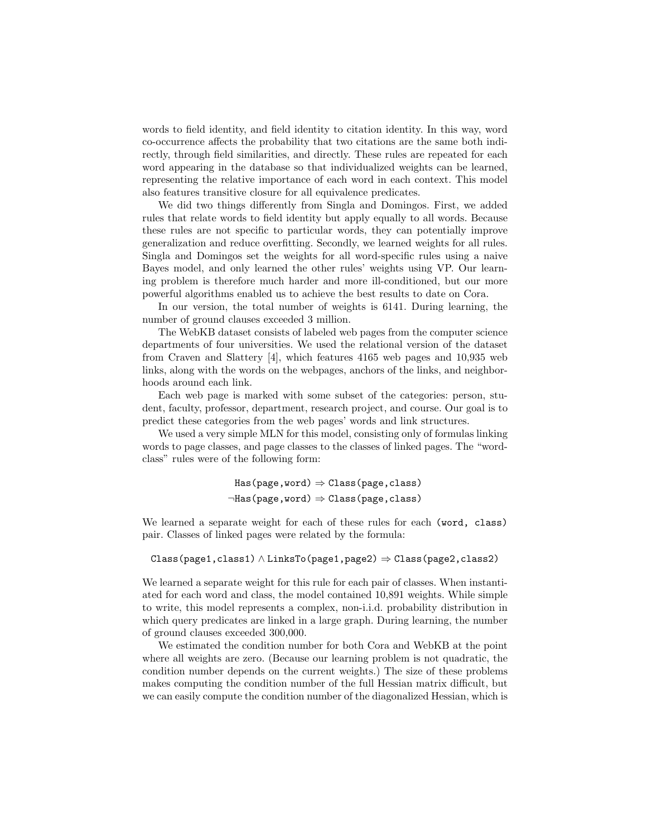words to field identity, and field identity to citation identity. In this way, word co-occurrence affects the probability that two citations are the same both indirectly, through field similarities, and directly. These rules are repeated for each word appearing in the database so that individualized weights can be learned, representing the relative importance of each word in each context. This model also features transitive closure for all equivalence predicates.

We did two things differently from Singla and Domingos. First, we added rules that relate words to field identity but apply equally to all words. Because these rules are not specific to particular words, they can potentially improve generalization and reduce overfitting. Secondly, we learned weights for all rules. Singla and Domingos set the weights for all word-specific rules using a naive Bayes model, and only learned the other rules' weights using VP. Our learning problem is therefore much harder and more ill-conditioned, but our more powerful algorithms enabled us to achieve the best results to date on Cora.

In our version, the total number of weights is 6141. During learning, the number of ground clauses exceeded 3 million.

The WebKB dataset consists of labeled web pages from the computer science departments of four universities. We used the relational version of the dataset from Craven and Slattery [4], which features 4165 web pages and 10,935 web links, along with the words on the webpages, anchors of the links, and neighborhoods around each link.

Each web page is marked with some subset of the categories: person, student, faculty, professor, department, research project, and course. Our goal is to predict these categories from the web pages' words and link structures.

We used a very simple MLN for this model, consisting only of formulas linking words to page classes, and page classes to the classes of linked pages. The "wordclass" rules were of the following form:

> $Has(page,word) \Rightarrow Class(page,class)$  $\neg$ Has(page,word)  $\Rightarrow$  Class(page, class)

We learned a separate weight for each of these rules for each (word, class) pair. Classes of linked pages were related by the formula:

```
Class(page1,class1) ∧ LinksTo(page1,page2) ⇒ Class(page2,class2)
```
We learned a separate weight for this rule for each pair of classes. When instantiated for each word and class, the model contained 10,891 weights. While simple to write, this model represents a complex, non-i.i.d. probability distribution in which query predicates are linked in a large graph. During learning, the number of ground clauses exceeded 300,000.

We estimated the condition number for both Cora and WebKB at the point where all weights are zero. (Because our learning problem is not quadratic, the condition number depends on the current weights.) The size of these problems makes computing the condition number of the full Hessian matrix difficult, but we can easily compute the condition number of the diagonalized Hessian, which is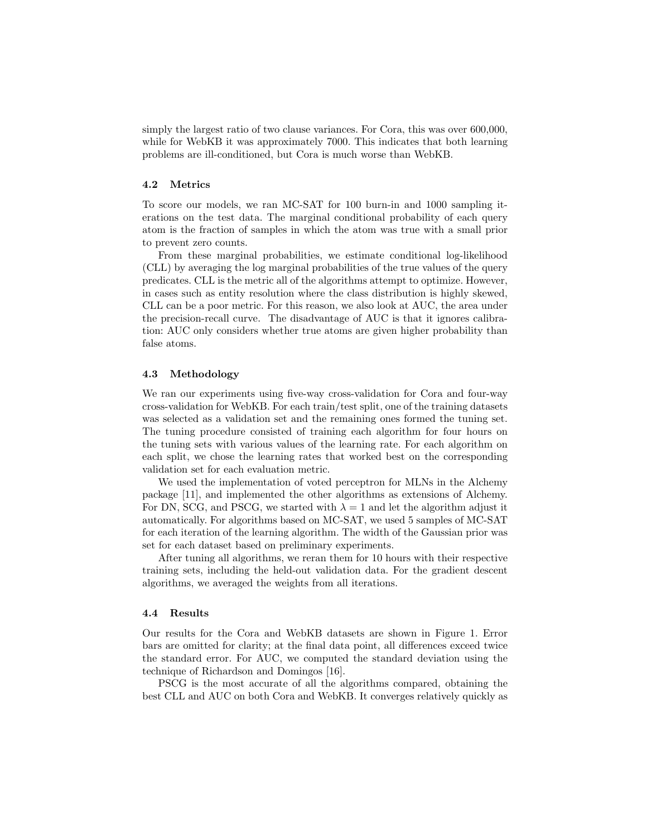simply the largest ratio of two clause variances. For Cora, this was over 600,000, while for WebKB it was approximately 7000. This indicates that both learning problems are ill-conditioned, but Cora is much worse than WebKB.

#### 4.2 Metrics

To score our models, we ran MC-SAT for 100 burn-in and 1000 sampling iterations on the test data. The marginal conditional probability of each query atom is the fraction of samples in which the atom was true with a small prior to prevent zero counts.

From these marginal probabilities, we estimate conditional log-likelihood (CLL) by averaging the log marginal probabilities of the true values of the query predicates. CLL is the metric all of the algorithms attempt to optimize. However, in cases such as entity resolution where the class distribution is highly skewed, CLL can be a poor metric. For this reason, we also look at AUC, the area under the precision-recall curve. The disadvantage of AUC is that it ignores calibration: AUC only considers whether true atoms are given higher probability than false atoms.

## 4.3 Methodology

We ran our experiments using five-way cross-validation for Cora and four-way cross-validation for WebKB. For each train/test split, one of the training datasets was selected as a validation set and the remaining ones formed the tuning set. The tuning procedure consisted of training each algorithm for four hours on the tuning sets with various values of the learning rate. For each algorithm on each split, we chose the learning rates that worked best on the corresponding validation set for each evaluation metric.

We used the implementation of voted perceptron for MLNs in the Alchemy package [11], and implemented the other algorithms as extensions of Alchemy. For DN, SCG, and PSCG, we started with  $\lambda = 1$  and let the algorithm adjust it automatically. For algorithms based on MC-SAT, we used 5 samples of MC-SAT for each iteration of the learning algorithm. The width of the Gaussian prior was set for each dataset based on preliminary experiments.

After tuning all algorithms, we reran them for 10 hours with their respective training sets, including the held-out validation data. For the gradient descent algorithms, we averaged the weights from all iterations.

#### 4.4 Results

Our results for the Cora and WebKB datasets are shown in Figure 1. Error bars are omitted for clarity; at the final data point, all differences exceed twice the standard error. For AUC, we computed the standard deviation using the technique of Richardson and Domingos [16].

PSCG is the most accurate of all the algorithms compared, obtaining the best CLL and AUC on both Cora and WebKB. It converges relatively quickly as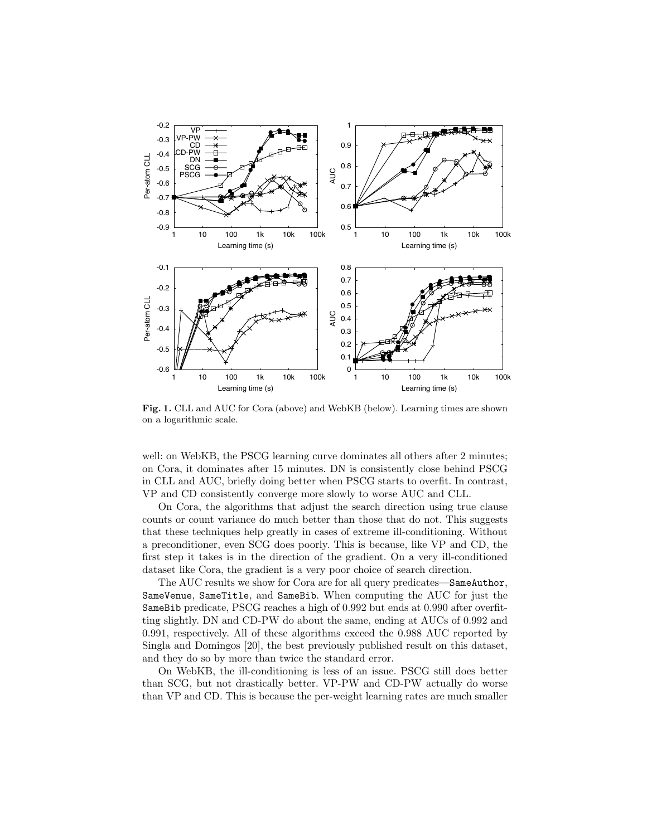

Fig. 1. CLL and AUC for Cora (above) and WebKB (below). Learning times are shown on a logarithmic scale.

well: on WebKB, the PSCG learning curve dominates all others after 2 minutes; on Cora, it dominates after 15 minutes. DN is consistently close behind PSCG in CLL and AUC, briefly doing better when PSCG starts to overfit. In contrast, VP and CD consistently converge more slowly to worse AUC and CLL.

On Cora, the algorithms that adjust the search direction using true clause counts or count variance do much better than those that do not. This suggests that these techniques help greatly in cases of extreme ill-conditioning. Without a preconditioner, even SCG does poorly. This is because, like VP and CD, the first step it takes is in the direction of the gradient. On a very ill-conditioned dataset like Cora, the gradient is a very poor choice of search direction.

The AUC results we show for Cora are for all query predicates—SameAuthor, SameVenue, SameTitle, and SameBib. When computing the AUC for just the SameBib predicate, PSCG reaches a high of 0.992 but ends at 0.990 after overfitting slightly. DN and CD-PW do about the same, ending at AUCs of 0.992 and 0.991, respectively. All of these algorithms exceed the 0.988 AUC reported by Singla and Domingos [20], the best previously published result on this dataset, and they do so by more than twice the standard error.

On WebKB, the ill-conditioning is less of an issue. PSCG still does better than SCG, but not drastically better. VP-PW and CD-PW actually do worse than VP and CD. This is because the per-weight learning rates are much smaller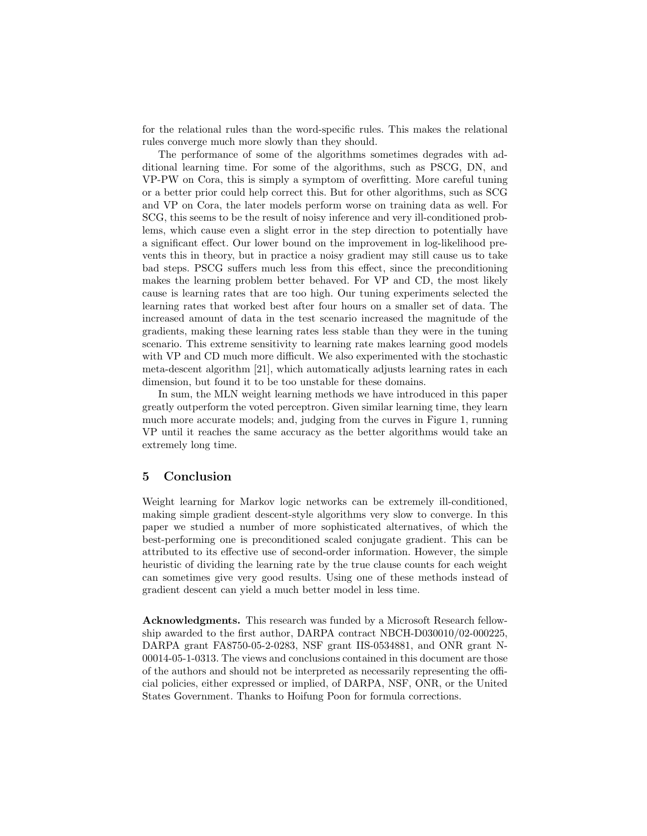for the relational rules than the word-specific rules. This makes the relational rules converge much more slowly than they should.

The performance of some of the algorithms sometimes degrades with additional learning time. For some of the algorithms, such as PSCG, DN, and VP-PW on Cora, this is simply a symptom of overfitting. More careful tuning or a better prior could help correct this. But for other algorithms, such as SCG and VP on Cora, the later models perform worse on training data as well. For SCG, this seems to be the result of noisy inference and very ill-conditioned problems, which cause even a slight error in the step direction to potentially have a significant effect. Our lower bound on the improvement in log-likelihood prevents this in theory, but in practice a noisy gradient may still cause us to take bad steps. PSCG suffers much less from this effect, since the preconditioning makes the learning problem better behaved. For VP and CD, the most likely cause is learning rates that are too high. Our tuning experiments selected the learning rates that worked best after four hours on a smaller set of data. The increased amount of data in the test scenario increased the magnitude of the gradients, making these learning rates less stable than they were in the tuning scenario. This extreme sensitivity to learning rate makes learning good models with VP and CD much more difficult. We also experimented with the stochastic meta-descent algorithm [21], which automatically adjusts learning rates in each dimension, but found it to be too unstable for these domains.

In sum, the MLN weight learning methods we have introduced in this paper greatly outperform the voted perceptron. Given similar learning time, they learn much more accurate models; and, judging from the curves in Figure 1, running VP until it reaches the same accuracy as the better algorithms would take an extremely long time.

# 5 Conclusion

Weight learning for Markov logic networks can be extremely ill-conditioned, making simple gradient descent-style algorithms very slow to converge. In this paper we studied a number of more sophisticated alternatives, of which the best-performing one is preconditioned scaled conjugate gradient. This can be attributed to its effective use of second-order information. However, the simple heuristic of dividing the learning rate by the true clause counts for each weight can sometimes give very good results. Using one of these methods instead of gradient descent can yield a much better model in less time.

Acknowledgments. This research was funded by a Microsoft Research fellowship awarded to the first author, DARPA contract NBCH-D030010/02-000225, DARPA grant FA8750-05-2-0283, NSF grant IIS-0534881, and ONR grant N-00014-05-1-0313. The views and conclusions contained in this document are those of the authors and should not be interpreted as necessarily representing the official policies, either expressed or implied, of DARPA, NSF, ONR, or the United States Government. Thanks to Hoifung Poon for formula corrections.